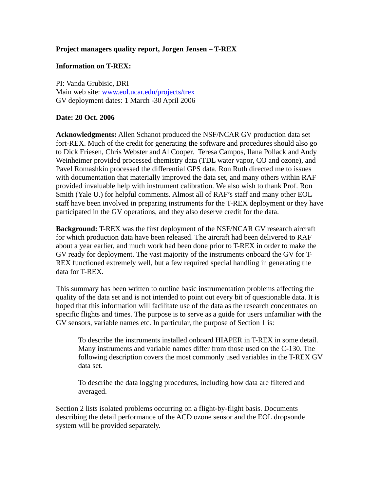## **Project managers quality report, Jorgen Jensen – T-REX**

## **Information on T-REX:**

PI: Vanda Grubisic, DRI Main web site: [www.eol.ucar.edu/projects/trex](http://www.eol.ucar.edu/projects/trex) GV deployment dates: 1 March -30 April 2006

## **Date: 20 Oct. 2006**

**Acknowledgments:** Allen Schanot produced the NSF/NCAR GV production data set fort-REX. Much of the credit for generating the software and procedures should also go to Dick Friesen, Chris Webster and Al Cooper. Teresa Campos, Ilana Pollack and Andy Weinheimer provided processed chemistry data (TDL water vapor, CO and ozone), and Pavel Romashkin processed the differential GPS data. Ron Ruth directed me to issues with documentation that materially improved the data set, and many others within RAF provided invaluable help with instrument calibration. We also wish to thank Prof. Ron Smith (Yale U.) for helpful comments. Almost all of RAF's staff and many other EOL staff have been involved in preparing instruments for the T-REX deployment or they have participated in the GV operations, and they also deserve credit for the data.

**Background:** T-REX was the first deployment of the NSF/NCAR GV research aircraft for which production data have been released. The aircraft had been delivered to RAF about a year earlier, and much work had been done prior to T-REX in order to make the GV ready for deployment. The vast majority of the instruments onboard the GV for T-REX functioned extremely well, but a few required special handling in generating the data for T-REX.

This summary has been written to outline basic instrumentation problems affecting the quality of the data set and is not intended to point out every bit of questionable data. It is hoped that this information will facilitate use of the data as the research concentrates on specific flights and times. The purpose is to serve as a guide for users unfamiliar with the GV sensors, variable names etc. In particular, the purpose of Section 1 is:

To describe the instruments installed onboard HIAPER in T-REX in some detail. Many instruments and variable names differ from those used on the C-130. The following description covers the most commonly used variables in the T-REX GV data set.

To describe the data logging procedures, including how data are filtered and averaged.

Section 2 lists isolated problems occurring on a flight-by-flight basis. Documents describing the detail performance of the ACD ozone sensor and the EOL dropsonde system will be provided separately.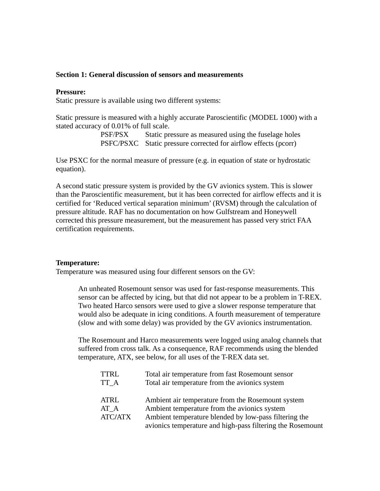### **Section 1: General discussion of sensors and measurements**

#### **Pressure:**

Static pressure is available using two different systems:

Static pressure is measured with a highly accurate Paroscientific (MODEL 1000) with a stated accuracy of 0.01% of full scale.

> PSF/PSX Static pressure as measured using the fuselage holes PSFC/PSXC Static pressure corrected for airflow effects (pcorr)

Use PSXC for the normal measure of pressure (e.g. in equation of state or hydrostatic equation).

A second static pressure system is provided by the GV avionics system. This is slower than the Paroscientific measurement, but it has been corrected for airflow effects and it is certified for 'Reduced vertical separation minimum' (RVSM) through the calculation of pressure altitude. RAF has no documentation on how Gulfstream and Honeywell corrected this pressure measurement, but the measurement has passed very strict FAA certification requirements.

#### **Temperature:**

Temperature was measured using four different sensors on the GV:

An unheated Rosemount sensor was used for fast-response measurements. This sensor can be affected by icing, but that did not appear to be a problem in T-REX. Two heated Harco sensors were used to give a slower response temperature that would also be adequate in icing conditions. A fourth measurement of temperature (slow and with some delay) was provided by the GV avionics instrumentation.

The Rosemount and Harco measurements were logged using analog channels that suffered from cross talk. As a consequence, RAF recommends using the blended temperature, ATX, see below, for all uses of the T-REX data set.

| <b>TTRL</b> | Total air temperature from fast Rosemount sensor           |
|-------------|------------------------------------------------------------|
| TT A        | Total air temperature from the avionics system             |
|             |                                                            |
| ATRL        | Ambient air temperature from the Rosemount system          |
| AT A        | Ambient temperature from the avionics system               |
| ATC/ATX     | Ambient temperature blended by low-pass filtering the      |
|             | avionics temperature and high-pass filtering the Rosemount |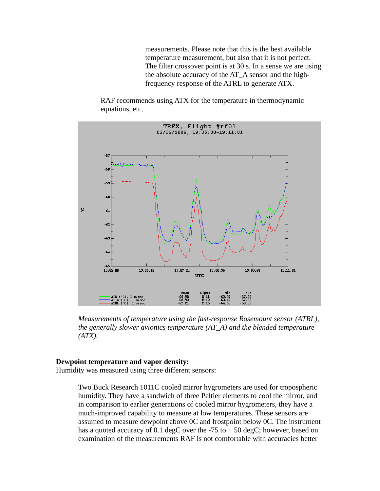measurements. Please note that this is the best available temperature measurement, but also that it is not perfect. The filter crossover point is at 30 s. In a sense we are using the absolute accuracy of the AT\_A sensor and the highfrequency response of the ATRL to generate ATX.

RAF recommends using ATX for the temperature in thermodynamic equations, etc.



*Measurements of temperature using the fast-response Rosemount sensor (ATRL), the generally slower avionics temperature (AT\_A) and the blended temperature (ATX).*

### **Dewpoint temperature and vapor density:**

Humidity was measured using three different sensors:

Two Buck Research 1011C cooled mirror hygrometers are used for tropospheric humidity. They have a sandwich of three Peltier elements to cool the mirror, and in comparison to earlier generations of cooled mirror hygrometers, they have a much-improved capability to measure at low temperatures. These sensors are assumed to measure dewpoint above 0C and frostpoint below 0C. The instrument has a quoted accuracy of 0.1 degC over the  $-75$  to  $+50$  degC; however, based on examination of the measurements RAF is not comfortable with accuracies better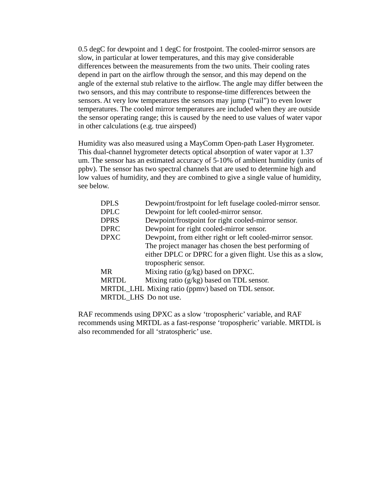0.5 degC for dewpoint and 1 degC for frostpoint. The cooled-mirror sensors are slow, in particular at lower temperatures, and this may give considerable differences between the measurements from the two units. Their cooling rates depend in part on the airflow through the sensor, and this may depend on the angle of the external stub relative to the airflow. The angle may differ between the two sensors, and this may contribute to response-time differences between the sensors. At very low temperatures the sensors may jump ("rail") to even lower temperatures. The cooled mirror temperatures are included when they are outside the sensor operating range; this is caused by the need to use values of water vapor in other calculations (e.g. true airspeed)

Humidity was also measured using a MayComm Open-path Laser Hygrometer. This dual-channel hygrometer detects optical absorption of water vapor at 1.37 um. The sensor has an estimated accuracy of 5-10% of ambient humidity (units of ppbv). The sensor has two spectral channels that are used to determine high and low values of humidity, and they are combined to give a single value of humidity, see below.

| <b>DPLS</b>                                        | Dewpoint/frostpoint for left fuselage cooled-mirror sensor. |  |
|----------------------------------------------------|-------------------------------------------------------------|--|
| <b>DPLC</b>                                        | Dewpoint for left cooled-mirror sensor.                     |  |
| <b>DPRS</b>                                        | Dewpoint/frostpoint for right cooled-mirror sensor.         |  |
| <b>DPRC</b>                                        | Dewpoint for right cooled-mirror sensor.                    |  |
| <b>DPXC</b>                                        | Dewpoint, from either right or left cooled-mirror sensor.   |  |
|                                                    | The project manager has chosen the best performing of       |  |
|                                                    | either DPLC or DPRC for a given flight. Use this as a slow, |  |
|                                                    | tropospheric sensor.                                        |  |
| <b>MR</b>                                          | Mixing ratio (g/kg) based on DPXC.                          |  |
| MRTDL                                              | Mixing ratio (g/kg) based on TDL sensor.                    |  |
| MRTDL_LHL Mixing ratio (ppmv) based on TDL sensor. |                                                             |  |
| MRTDL LHS Do not use.                              |                                                             |  |

RAF recommends using DPXC as a slow 'tropospheric' variable, and RAF recommends using MRTDL as a fast-response 'tropospheric' variable. MRTDL is also recommended for all 'stratospheric' use.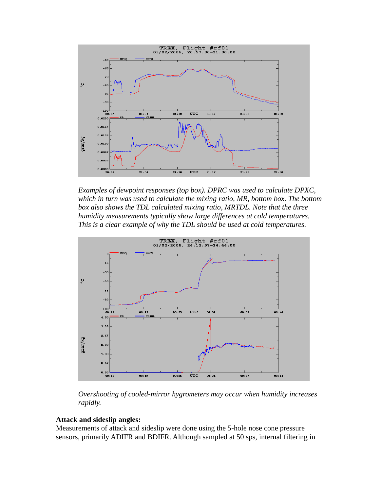

*Examples of dewpoint responses (top box). DPRC was used to calculate DPXC, which in turn was used to calculate the mixing ratio, MR, bottom box. The bottom box also shows the TDL calculated mixing ratio, MRTDL. Note that the three humidity measurements typically show large differences at cold temperatures. This is a clear example of why the TDL should be used at cold temperatures.*



*Overshooting of cooled-mirror hygrometers may occur when humidity increases rapidly.*

## **Attack and sideslip angles:**

Measurements of attack and sideslip were done using the 5-hole nose cone pressure sensors, primarily ADIFR and BDIFR. Although sampled at 50 sps, internal filtering in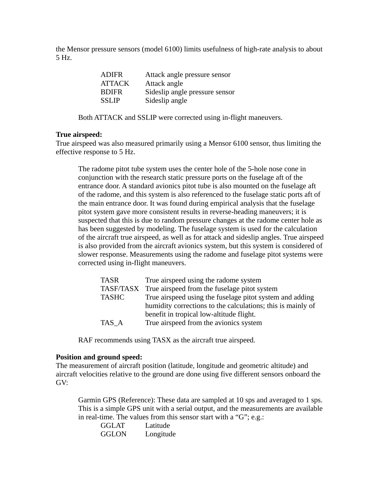the Mensor pressure sensors (model 6100) limits usefulness of high-rate analysis to about 5 Hz.

| <b>ADIFR</b>  | Attack angle pressure sensor   |
|---------------|--------------------------------|
| <b>ATTACK</b> | Attack angle                   |
| <b>BDIFR</b>  | Sideslip angle pressure sensor |
| <b>SSLIP</b>  | Sideslip angle                 |

Both ATTACK and SSLIP were corrected using in-flight maneuvers.

## **True airspeed:**

True airspeed was also measured primarily using a Mensor 6100 sensor, thus limiting the effective response to 5 Hz.

The radome pitot tube system uses the center hole of the 5-hole nose cone in conjunction with the research static pressure ports on the fuselage aft of the entrance door. A standard avionics pitot tube is also mounted on the fuselage aft of the radome, and this system is also referenced to the fuselage static ports aft of the main entrance door. It was found during empirical analysis that the fuselage pitot system gave more consistent results in reverse-heading maneuvers; it is suspected that this is due to random pressure changes at the radome center hole as has been suggested by modeling. The fuselage system is used for the calculation of the aircraft true airspeed, as well as for attack and sideslip angles. True airspeed is also provided from the aircraft avionics system, but this system is considered of slower response. Measurements using the radome and fuselage pitot systems were corrected using in-flight maneuvers.

| <b>TASR</b>  | True airspeed using the radome system                       |  |
|--------------|-------------------------------------------------------------|--|
| TASF/TASX    | True airspeed from the fuselage pitot system                |  |
| <b>TASHC</b> | True airspeed using the fuselage pitot system and adding    |  |
|              | humidity corrections to the calculations; this is mainly of |  |
|              | benefit in tropical low-altitude flight.                    |  |
| TAS A        | True airspeed from the avionics system                      |  |

RAF recommends using TASX as the aircraft true airspeed.

## **Position and ground speed:**

The measurement of aircraft position (latitude, longitude and geometric altitude) and aircraft velocities relative to the ground are done using five different sensors onboard the GV:

Garmin GPS (Reference): These data are sampled at 10 sps and averaged to 1 sps. This is a simple GPS unit with a serial output, and the measurements are available in real-time. The values from this sensor start with a "G"; e.g.:

| GGLAT | Latitude  |
|-------|-----------|
| GGLON | Longitude |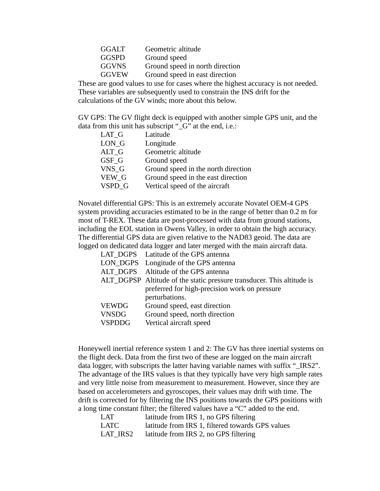| Geometric altitude              |
|---------------------------------|
| Ground speed                    |
| Ground speed in north direction |
| Ground speed in east direction  |
|                                 |

These are good values to use for cases where the highest accuracy is not needed. These variables are subsequently used to constrain the INS drift for the calculations of the GV winds; more about this below.

GV GPS: The GV flight deck is equipped with another simple GPS unit, and the data from this unit has subscript "\_G" at the end, i.e.:

| LAT G           | Latitude                            |
|-----------------|-------------------------------------|
| LON G           | Longitude                           |
| $\text{ALT\_G}$ | Geometric altitude                  |
| GSF G           | Ground speed                        |
| VNS G           | Ground speed in the north direction |
| VEW G           | Ground speed in the east direction  |
| VSPD G          | Vertical speed of the aircraft      |

Novatel differential GPS: This is an extremely accurate Novatel OEM-4 GPS system providing accuracies estimated to be in the range of better than 0.2 m for most of T-REX. These data are post-processed with data from ground stations, including the EOL station in Owens Valley, in order to obtain the high accuracy. The differential GPS data are given relative to the NAD83 geoid. The data are logged on dedicated data logger and later merged with the main aircraft data.

|               | LAT_DGPS Latitude of the GPS antenna                                   |  |
|---------------|------------------------------------------------------------------------|--|
|               | LON_DGPS Longitude of the GPS antenna                                  |  |
|               | ALT DGPS Altitude of the GPS antenna                                   |  |
|               | ALT_DGPSP Altitude of the static pressure transducer. This altitude is |  |
|               | preferred for high-precision work on pressure                          |  |
|               | perturbations.                                                         |  |
| VEWDG         | Ground speed, east direction                                           |  |
| VNSDG         | Ground speed, north direction                                          |  |
| <b>VSPDDG</b> | Vertical aircraft speed                                                |  |
|               |                                                                        |  |

Honeywell inertial reference system 1 and 2: The GV has three inertial systems on the flight deck. Data from the first two of these are logged on the main aircraft data logger, with subscripts the latter having variable names with suffix "\_IRS2". The advantage of the IRS values is that they typically have very high sample rates and very little noise from measurement to measurement. However, since they are based on accelerometers and gyroscopes, their values may drift with time. The drift is corrected for by filtering the INS positions towards the GPS positions with a long time constant filter; the filtered values have a "C" added to the end.

| <b>LAT</b> | latitude from IRS 1, no GPS filtering            |
|------------|--------------------------------------------------|
| LATC       | latitude from IRS 1, filtered towards GPS values |
| LAT IRS2   | latitude from IRS 2, no GPS filtering            |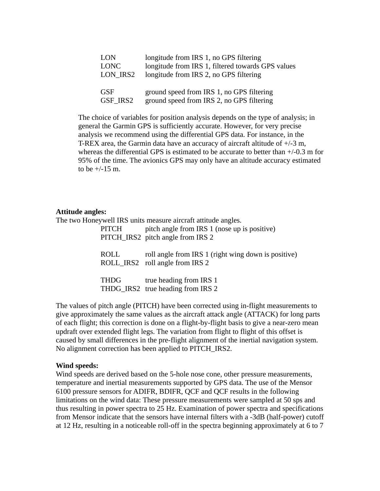| <b>LON</b>  | longitude from IRS 1, no GPS filtering            |
|-------------|---------------------------------------------------|
| <b>LONC</b> | longitude from IRS 1, filtered towards GPS values |
| LON IRS2    | longitude from IRS 2, no GPS filtering            |
|             |                                                   |
| <b>GSF</b>  | ground speed from IRS 1, no GPS filtering         |
| GSF IRS2    | ground speed from IRS 2, no GPS filtering         |

The choice of variables for position analysis depends on the type of analysis; in general the Garmin GPS is sufficiently accurate. However, for very precise analysis we recommend using the differential GPS data. For instance, in the T-REX area, the Garmin data have an accuracy of aircraft altitude of +/-3 m, whereas the differential GPS is estimated to be accurate to better than +/-0.3 m for 95% of the time. The avionics GPS may only have an altitude accuracy estimated to be +/-15 m.

#### **Attitude angles:**

The two Honeywell IRS units measure aircraft attitude angles. PITCH pitch angle from IRS 1 (nose up is positive) PITCH\_IRS2 pitch angle from IRS 2 ROLL roll angle from IRS 1 (right wing down is positive) ROLL IRS2 roll angle from IRS 2 THDG true heading from IRS 1 THDG\_IRS2 true heading from IRS 2

The values of pitch angle (PITCH) have been corrected using in-flight measurements to give approximately the same values as the aircraft attack angle (ATTACK) for long parts of each flight; this correction is done on a flight-by-flight basis to give a near-zero mean updraft over extended flight legs. The variation from flight to flight of this offset is caused by small differences in the pre-flight alignment of the inertial navigation system. No alignment correction has been applied to PITCH\_IRS2.

## **Wind speeds:**

Wind speeds are derived based on the 5-hole nose cone, other pressure measurements, temperature and inertial measurements supported by GPS data. The use of the Mensor 6100 pressure sensors for ADIFR, BDIFR, QCF and QCF results in the following limitations on the wind data: These pressure measurements were sampled at 50 sps and thus resulting in power spectra to 25 Hz. Examination of power spectra and specifications from Mensor indicate that the sensors have internal filters with a -3dB (half-power) cutoff at 12 Hz, resulting in a noticeable roll-off in the spectra beginning approximately at 6 to 7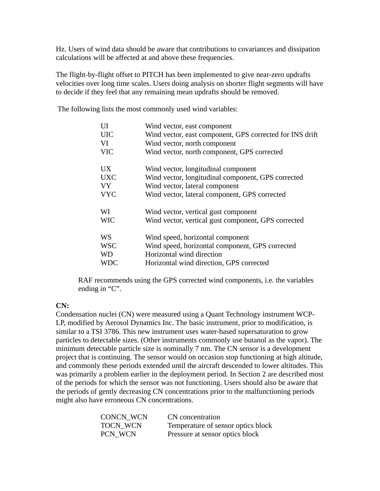Hz. Users of wind data should be aware that contributions to covariances and dissipation calculations will be affected at and above these frequencies.

The flight-by-flight offset to PITCH has been implemented to give near-zero updrafts velocities over long time scales. Users doing analysis on shorter flight segments will have to decide if they feel that any remaining mean updrafts should be removed.

The following lists the most commonly used wind variables:

| UI         | Wind vector, east component                              |
|------------|----------------------------------------------------------|
| <b>UIC</b> | Wind vector, east component, GPS corrected for INS drift |
| VI         | Wind vector, north component                             |
| <b>VIC</b> | Wind vector, north component, GPS corrected              |
| UX         | Wind vector, longitudinal component                      |
| <b>UXC</b> | Wind vector, longitudinal component, GPS corrected       |
| <b>VY</b>  | Wind vector, lateral component                           |
| <b>VYC</b> | Wind vector, lateral component, GPS corrected            |
| WI         | Wind vector, vertical gust component                     |
| <b>WIC</b> | Wind vector, vertical gust component, GPS corrected      |
| WS         | Wind speed, horizontal component                         |
| <b>WSC</b> | Wind speed, horizontal component, GPS corrected          |
| <b>WD</b>  | Horizontal wind direction                                |
| WDC        | Horizontal wind direction, GPS corrected                 |

RAF recommends using the GPS corrected wind components, i.e. the variables ending in "C".

# **CN:**

Condensation nuclei (CN) were measured using a Quant Technology instrument WCP-LP, modified by Aerosol Dynamics Inc. The basic instrument, prior to modification, is similar to a TSI 3786. This new instrument uses water-based supersaturation to grow particles to detectable sizes. (Other instruments commonly use butanol as the vapor). The minimum detectable particle size is nominally 7 nm. The CN sensor is a development project that is continuing. The sensor would on occasion stop functioning at high altitude, and commonly these periods extended until the aircraft descended to lower altitudes. This was primarily a problem earlier in the deployment period. In Section 2 are described most of the periods for which the sensor was not functioning. Users should also be aware that the periods of gently decreasing CN concentrations prior to the malfunctioning periods might also have erroneous CN concentrations.

| CONCN WCN | CN concentration                   |
|-----------|------------------------------------|
| TOCN WCN  | Temperature of sensor optics block |
| PCN WCN   | Pressure at sensor optics block    |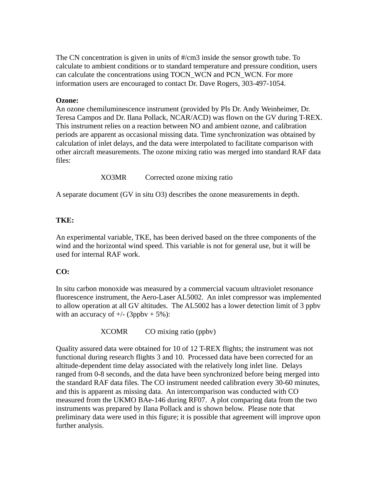The CN concentration is given in units of #/cm3 inside the sensor growth tube. To calculate to ambient conditions or to standard temperature and pressure condition, users can calculate the concentrations using TOCN\_WCN and PCN\_WCN. For more information users are encouraged to contact Dr. Dave Rogers, 303-497-1054.

## **Ozone:**

An ozone chemiluminescence instrument (provided by PIs Dr. Andy Weinheimer, Dr. Teresa Campos and Dr. Ilana Pollack, NCAR/ACD) was flown on the GV during T-REX. This instrument relies on a reaction between NO and ambient ozone, and calibration periods are apparent as occasional missing data. Time synchronization was obtained by calculation of inlet delays, and the data were interpolated to facilitate comparison with other aircraft measurements. The ozone mixing ratio was merged into standard RAF data files:

XO3MR Corrected ozone mixing ratio

A separate document (GV in situ O3) describes the ozone measurements in depth.

# **TKE:**

An experimental variable, TKE, has been derived based on the three components of the wind and the horizontal wind speed. This variable is not for general use, but it will be used for internal RAF work.

# **CO:**

In situ carbon monoxide was measured by a commercial vacuum ultraviolet resonance fluorescence instrument, the Aero-Laser AL5002. An inlet compressor was implemented to allow operation at all GV altitudes. The AL5002 has a lower detection limit of 3 ppbv with an accuracy of  $+/-$  (3ppbv  $+5\%$ ):

XCOMR CO mixing ratio (ppbv)

Quality assured data were obtained for 10 of 12 T-REX flights; the instrument was not functional during research flights 3 and 10. Processed data have been corrected for an altitude-dependent time delay associated with the relatively long inlet line. Delays ranged from 0-8 seconds, and the data have been synchronized before being merged into the standard RAF data files. The CO instrument needed calibration every 30-60 minutes, and this is apparent as missing data. An intercomparison was conducted with CO measured from the UKMO BAe-146 during RF07. A plot comparing data from the two instruments was prepared by Ilana Pollack and is shown below. Please note that preliminary data were used in this figure; it is possible that agreement will improve upon further analysis.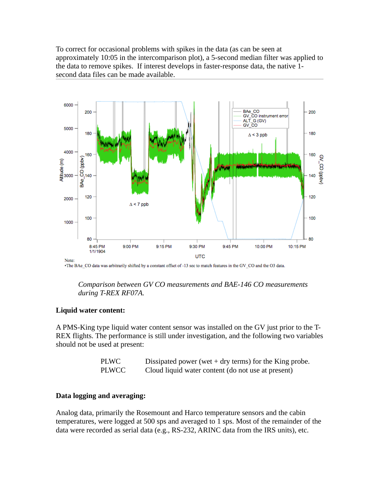To correct for occasional problems with spikes in the data (as can be seen at approximately 10:05 in the intercomparison plot), a 5-second median filter was applied to the data to remove spikes. If interest develops in faster-response data, the native 1 second data files can be made available.



The BAe\_CO data was arbitrarily shifted by a constant offset of -13 sec to match features in the GV\_CO and the O3 data.

*Comparison between GV CO measurements and BAE-146 CO measurements during T-REX RF07A.*

## **Liquid water content:**

A PMS-King type liquid water content sensor was installed on the GV just prior to the T-REX flights. The performance is still under investigation, and the following two variables should not be used at present:

| PLWC  | Dissipated power (wet $+$ dry terms) for the King probe. |
|-------|----------------------------------------------------------|
| PLWCC | Cloud liquid water content (do not use at present)       |

# **Data logging and averaging:**

Analog data, primarily the Rosemount and Harco temperature sensors and the cabin temperatures, were logged at 500 sps and averaged to 1 sps. Most of the remainder of the data were recorded as serial data (e.g., RS-232, ARINC data from the IRS units), etc.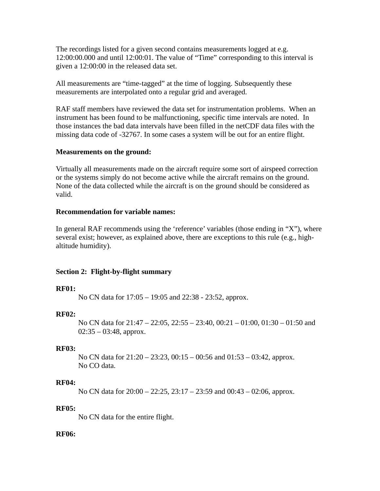The recordings listed for a given second contains measurements logged at e.g. 12:00:00.000 and until 12:00:01. The value of "Time" corresponding to this interval is given a 12:00:00 in the released data set.

All measurements are "time-tagged" at the time of logging. Subsequently these measurements are interpolated onto a regular grid and averaged.

RAF staff members have reviewed the data set for instrumentation problems. When an instrument has been found to be malfunctioning, specific time intervals are noted. In those instances the bad data intervals have been filled in the netCDF data files with the missing data code of -32767. In some cases a system will be out for an entire flight.

## **Measurements on the ground:**

Virtually all measurements made on the aircraft require some sort of airspeed correction or the systems simply do not become active while the aircraft remains on the ground. None of the data collected while the aircraft is on the ground should be considered as valid.

## **Recommendation for variable names:**

In general RAF recommends using the 'reference' variables (those ending in "X"), where several exist; however, as explained above, there are exceptions to this rule (e.g., highaltitude humidity).

# **Section 2: Flight-by-flight summary**

## **RF01:**

No CN data for 17:05 – 19:05 and 22:38 - 23:52, approx.

## **RF02:**

No CN data for 21:47 – 22:05, 22:55 – 23:40, 00:21 – 01:00, 01:30 – 01:50 and  $02:35 - 03:48$ , approx.

## **RF03:**

No CN data for 21:20 – 23:23, 00:15 – 00:56 and 01:53 – 03:42, approx. No CO data.

## **RF04:**

No CN data for 20:00 – 22:25, 23:17 – 23:59 and 00:43 – 02:06, approx.

## **RF05:**

No CN data for the entire flight.

# **RF06:**